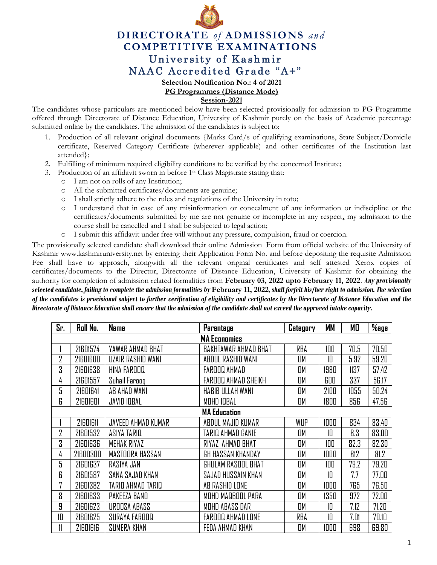

## **DIRECTORATE** *of* **ADMISSIONS** *and* **COMPETITIVE EXAMINATIONS** University of Kashmir NAAC Accredited Grade "A+"

**Selection Notification No.: 4 of 2021**

**PG Programmes (Distance Mode)**

**Session-2021**

The candidates whose particulars are mentioned below have been selected provisionally for admission to PG Programme offered through Directorate of Distance Education, University of Kashmir purely on the basis of Academic percentage submitted online by the candidates. The admission of the candidates is subject to:

- 1. Production of all relevant original documents {Marks Card/s of qualifying examinations, State Subject/Domicile certificate, Reserved Category Certificate (wherever applicable) and other certificates of the Institution last attended};
- 2. Fulfilling of minimum required eligibility conditions to be verified by the concerned Institute;
- 3. Production of an affidavit sworn in before 1st Class Magistrate stating that:
	- o I am not on rolls of any Institution;
	- o All the submitted certificates/documents are genuine;
	- o I shall strictly adhere to the rules and regulations of the University in toto;
	- o I understand that in case of any misinformation or concealment of any information or indiscipline or the certificates/documents submitted by me are not genuine or incomplete in any respect**,** my admission to the course shall be cancelled and I shall be subjected to legal action;
	- o I submit this affidavit under free will without any pressure, compulsion, fraud or coercion.

The provisionally selected candidate shall download their online Admission Form from official website of the University of Kashmir [www.kashmiruniversity.net](http://www.kashmiruniversity.net/) by entering their Application Form No. and before depositing the requisite Admission Fee shall have to approach, alongwith all the relevant original certificates and self attested Xerox copies of certificates/documents to the Director, Directorate of Distance Education, University of Kashmir for obtaining the authority for completion of admission related formalities from **February 03, 2022 upto February 11, 2022**. *Any provisionally selected candidate, failing to complete the admission formalities by* **February 11, 2022***, shall forfeit his/her right to admission. The selection of the candidates is provisional subject to further verification of eligibility and certificates by the Directorate of Distance Education and the Directorate of Distance Education shall ensure that the admission of the candidate shall not exceed the approved intake capacity.*

| Sr.                 | Roll No.            | <b>Name</b>        | <b>Parentage</b>         | Category  | MМ   | МO   | $\%$ age |  |
|---------------------|---------------------|--------------------|--------------------------|-----------|------|------|----------|--|
| <b>MA Economics</b> |                     |                    |                          |           |      |      |          |  |
|                     | 21601574            | YAWAR AHMAD BHAT   | BAKHTAWAR AHMAD BHAT     | RBA       | 100  | 70.5 | 70.50    |  |
| 2                   | 21601600            | UZAIR RASHID WANI  | ABDUL RASHID WANI        | OM        | 10   | 5.92 | 59.20    |  |
| 3                   | 21601638            | HINA FAROOQ        | FAROOQ AHMAD             | <b>DM</b> | 1980 | 1137 | 57.42    |  |
| 4                   | 21601557            | Suhail Farooq      | FAROOQ AHMAD SHEIKH      | OM        | 600  | 337  | 56.17    |  |
| 5                   | 21601641            | AB AHAD WANI       | HABIB ULLAH WANI         | OM        | 2100 | 1055 | 50.24    |  |
| 6                   | 21601601            | <b>JAVID IQBAL</b> | MOHD IQBAL               | OM        | 1800 | 856  | 47.56    |  |
|                     | <b>MA Education</b> |                    |                          |           |      |      |          |  |
|                     | 21601611            | JAVEED AHMAD KUMAR | ABDUL MAJID KUMAR        | WUP       | 1000 | 834  | 83.40    |  |
| 2                   | 21601532            | ASIYA TARIQ        | TARIQ AHMAD GANIE        | OM        | 10   | 8.3  | 83.00    |  |
| 3                   | 21601636            | <b>MEHAK RIYAZ</b> | RIYAZ AHMAD BHAT         | OM        | 100  | 82.3 | 82.30    |  |
| 4                   | 21600300            | MASTOORA HASSAN    | GH HASSAN KHANDAY        | OM        | 1000 | 812  | 81.2     |  |
| 5                   | 21601637            | RASIYA JAN         | GHULAM RASOOL BHAT       | OМ        | 100  | 79.2 | 79.20    |  |
| 6                   | 21601587            | SANA SAJAD KHAN    | SAJAD HUSSAIN KHAN       | OM        | 10   | 7.7  | 77.00    |  |
| 7                   | 21601382            | TARIQ AHMAD TARIQ  | AB RASHID LONE           | OM        | 1000 | 765  | 76.50    |  |
| 8                   | 21601633            | PAKEEZA BAND       | MOHD MADBOOL PARA        | OM        | 1350 | 972  | 72.00    |  |
| 9                   | 21601623            | UROOSA ABASS       | MOHD ABASS DAR           | OM        | 10   | 7.12 | 71.20    |  |
| 10                  | 21601625            | SURAYA FAROOQ      | <b>FAROOQ AHMAD LONE</b> | RBA       | 10   | 7.01 | 70.10    |  |
|                     | 21601616            | SUMERA KHAN        | FEDA AHMAD KHAN          | OM        | 1000 | 698  | 69.80    |  |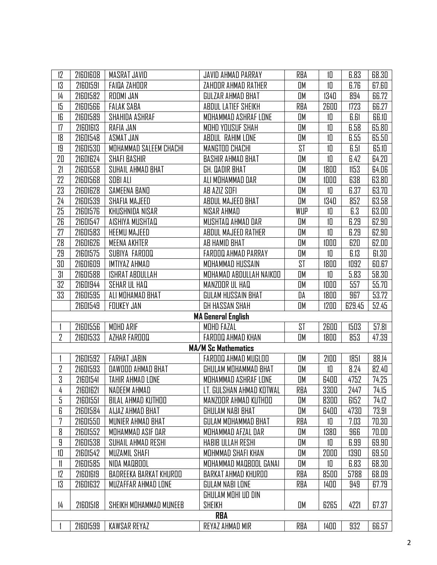| 12                        | 21601608 | MASRAT JAVID           | JAVID AHMAD PARRAY         | RBA       | 10   | 6.83   | 68.30 |  |
|---------------------------|----------|------------------------|----------------------------|-----------|------|--------|-------|--|
| 13                        | 21601591 | <b>FAIDA ZAHOOR</b>    | ZAHOOR AHMAD RATHER        | OM        | 10   | 6.76   | 67.60 |  |
| 14                        | 21601582 | ROOMI JAN              | GULZAR AHMAD BHAT          | OM        | 1340 | 894    | 66.72 |  |
| 15                        | 21601566 | <b>FALAK SABA</b>      | ABDUL LATIEF SHEIKH        | RBA       | 2600 | 1723   | 66.27 |  |
| 16                        | 21601589 | SHAHIDA ASHRAF         | MOHAMMAD ASHRAF LONE       | OM        | 10   | 6.61   | 66.10 |  |
| 17                        | 21601613 | RAFIA JAN              | MOHD YOUSUF SHAH           | OM        | 10   | 6.58   | 65.80 |  |
| 18                        | 21601548 | ASMAT JAN              | ABDUL RAHIM LONE           | OM        | 10   | 6.55   | 65.50 |  |
| 19                        | 21601530 | MOHAMMAD SALEEM CHACHI | <b>MANGTOO CHACHI</b>      | <b>ST</b> | 10   | 6.51   | 65.10 |  |
| 20                        | 21601624 | <b>SHAFI BASHIR</b>    | <b>BASHIR AHMAD BHAT</b>   | OM        | 10   | 6.42   | 64.20 |  |
| 21                        | 21601558 | SUHAIL AHMAD BHAT      | GH. DADIR BHAT             | OM        | 1800 | 1153   | 64.06 |  |
| 22                        | 21601568 | SOBI ALI               | ALI MOHAMMAD DAR           | OM        | 1000 | 638    | 63.80 |  |
| 23                        | 21601628 | SAMEENA BAND           | AB AZIZ SOFI               | OM        | 10   | 6.37   | 63.70 |  |
| 24                        | 21601539 | SHAFIA MAJEED          | ABDUL MAJEED BHAT          | OM        | 1340 | 852    | 63.58 |  |
| 25                        | 21601576 | KHUSHNIDA NISAR        | NISAR AHMAD                | WUP       | 10   | 6.3    | 63.00 |  |
| 26                        | 21601547 | AISHIYA MUSHTAQ        | MUSHTAQ AHMAD DAR          | OM        | 10   | 6.29   | 62.90 |  |
| 27                        | 21601583 | <b>HEEMU MAJEED</b>    | ABDUL MAJEED RATHER        | OM        | 10   | 6.29   | 62.90 |  |
| 28                        | 21601626 | <b>MEENA AKHTER</b>    | AB HAMID BHAT              | OM        | 1000 | 620    | 62.00 |  |
| 29                        | 21601575 | SUBIYA FAROOQ          | FAROOQ AHMAD PARRAY        | OM        | 10   | 6.13   | 61.30 |  |
| 30                        | 21601609 | IMTIYAZ AHMAD          | MOHAMMAD HUSSAIN           | <b>ST</b> | 1800 | 1092   | 60.67 |  |
| 31                        | 21601588 | <b>ISHRAT ABDULLAH</b> | MOHAMAD ABDULLAH NAIKOO    | OM        | 10   | 5.83   | 58.30 |  |
| 32                        | 21601944 | SEHAR UL HAQ           | MANZOOR UL HAQ             | OM        | 1000 | 557    | 55.70 |  |
| 33                        | 21601595 | ALI MOHAMAD BHAT       | GULAM HUSSAIN BHAT         | DA        | 1800 | 967    | 53.72 |  |
|                           | 21601549 | <b>FOUKEY JAN</b>      | <b>GH HASSAN SHAH</b>      | OM        | 1200 | 629.45 | 52.45 |  |
| <b>MA General English</b> |          |                        |                            |           |      |        |       |  |
|                           | 21601556 | MOHD ARIF              | MOHD FAZAL                 | <b>ST</b> | 2600 | 1503   | 57.81 |  |
| 2                         | 21601533 | AZHAR FAROOQ           | FAROOQ AHMAD KHAN          | OM        | 1800 | 853    | 47.39 |  |
|                           |          |                        | <b>MA/M Sc Mathematics</b> |           |      |        |       |  |
|                           | 21601592 | <b>FARHAT JABIN</b>    | FAROOQ AHMAD MUGLOO        | OM        | 2100 | 1851   | 88.14 |  |
| 2                         | 21601593 | DAWDOD AHMAD BHAT      | GHULAM MOHAMMAD BHAT       | OM        | 10   | 8.24   | 82.40 |  |
| 3                         | 21601541 | TAHIR AHMAD LONE       | MOHAMMAD ASHRAF LONE       | OM        | 6400 | 4752   | 74.25 |  |
| 4                         | 21601621 | NADEEM AHMAD           | LT. GULSHAN AHMAD KOTWAL   | RBA       | 3300 | 2447   | 74.15 |  |
| 5                         | 21601551 | BILAL AHMAD KUTHOO     | MANZOOR AHMAD KUTHOO       | OM        | 8300 | 6152   | 74.12 |  |
| 6                         | 21601584 | AIJAZ AHMAD BHAT       | GHULAM NABI BHAT           | OM        | 6400 | 4730   | 73.91 |  |
| 7                         | 21601550 | MUNIER AHMAD BHAT      | GULAM MOHAMMAD BHAT        | RBA       | 10   | 7.03   | 70.30 |  |
| 8                         | 21601552 | MOHAMMAD ASIF DAR      | MOHAMMAD AFZAL DAR         | OM        | 1380 | 966    | 70.00 |  |
| 9                         | 21601538 | SUHAIL AHMAD RESHI     | HABIB ULLAH RESHI          | OM        | 10   | 6.99   | 69.90 |  |
| 10                        | 21601542 | <b>MUZAMIL SHAFI</b>   | MOHMMAD SHAFI KHAN         | OM        | 2000 | 1390   | 69.50 |  |
| 11                        | 21601585 | NIDA MADBOOL           | MOHAMMAD MAQBOOL GANAI     | OM        | 10   | 6.83   | 68.30 |  |
| 12                        | 21601619 | BADREEKA BARKAT KHUROO | BARKAT AHMAD KHUROO        | RBA       | 8500 | 5788   | 68.09 |  |
| 13                        | 21601632 | MUZAFFAR AHMAD LONE    | GULAM NABI LONE            | RBA       | 1400 | 949    | 67.79 |  |
|                           |          |                        | GHULAM MOHI UD DIN         |           |      |        |       |  |
| 14                        | 21601518 | SHEIKH MOHAMMAD MUNEEB | SHEIKH                     | OM        | 6265 | 4221   | 67.37 |  |
| RBA                       |          |                        |                            |           |      |        |       |  |
|                           | 21601599 | <b>KAWSAR REYAZ</b>    | REYAZ AHMAD MIR            | RBA       | 1400 | 932    | 66.57 |  |
|                           |          |                        |                            |           |      |        |       |  |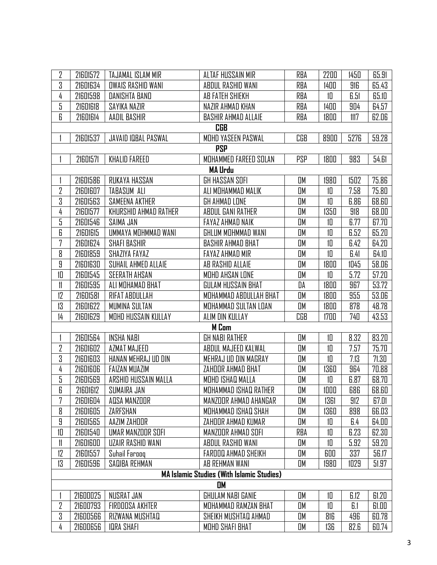| 2                                                | 21601572   | TAJAMAL ISLAM MIR        | ALTAF HUSSAIN MIR          | RBA        | 2200     | 1450 | 65.91 |  |  |
|--------------------------------------------------|------------|--------------------------|----------------------------|------------|----------|------|-------|--|--|
| 3                                                | 21601634   | <b>OWAIS RASHID WANI</b> | ABDUL RASHID WANI          | RBA        | 1400     | 916  | 65.43 |  |  |
| 4                                                | 21601598   | DANISHTA BAND            | AB FATEH SHIEKH            | RBA        | 10       | 6.51 | 65.10 |  |  |
| 5                                                | 21601618   | SAYIKA NAZIR             | NAZIR AHMAD KHAN           | RBA        | 1400     | 904  | 64.57 |  |  |
| 6                                                | 21601614   | AADIL BASHIR             | <b>BASHIR AHMAD ALLAIE</b> | RBA        | 1800     | 1117 | 62.06 |  |  |
|                                                  |            |                          | <b>CGB</b>                 |            |          |      |       |  |  |
|                                                  | 21601537   | JAVAID IQBAL PASWAL      | MOHD YASEEN PASWAL         | CGB        | 8900     | 5276 | 59.28 |  |  |
|                                                  | <b>PSP</b> |                          |                            |            |          |      |       |  |  |
|                                                  | 21601571   | <b>KHALID FAREED</b>     | MOHAMMED FAREED SOLAN      | <b>PSP</b> | 1800     | 983  | 54.61 |  |  |
|                                                  |            |                          | <b>MA Urdu</b>             |            |          |      |       |  |  |
|                                                  | 21601586   | RUKAYA HASSAN            | GH HASSAN SOFI             | OM         | 1980     | 1502 | 75.86 |  |  |
| 2                                                | 21601607   | TABASUM ALI              | ALI MOHAMMAD MALIK         | OM         | 10       | 7.58 | 75.80 |  |  |
| 3                                                | 21601563   | SAMEENA AKTHER           | GH AHMAD LONE              | OM         | 10       | 6.86 | 68.60 |  |  |
| 4                                                | 21601577   | KHURSHID AHMAD RATHER    | ABDUL GANI RATHER          | OM         | 1350     | 918  | 68.00 |  |  |
| 5                                                | 21601546   | SAIMA JAN                | FAYAZ AHMAD NAIK           | OM         | 10       | 6.77 | 67.70 |  |  |
| 6                                                | 21601615   | UMMAYA MOHMMAD WANI      | GHLUM MOHMMAD WANI         | OM         | 10       | 6.52 | 65.20 |  |  |
| 7                                                | 21601624   | <b>SHAFI BASHIR</b>      | <b>BASHIR AHMAD BHAT</b>   | OM         | 10       | 6.42 | 64.20 |  |  |
| 8                                                | 21601859   | SHAZIYA FAYAZ            | <b>FAYAZ AHMAD MIR</b>     | OM         | 10       | 6.41 | 64.10 |  |  |
| 9                                                | 21601630   | SUHAIL AHMED ALLAIE      | AB RASHID ALLAIE           | OМ         | 1800     | 1045 | 58.06 |  |  |
| 10                                               | 21601545   | <b>SEERATH AHSAN</b>     | MOHD AHSAN LONE            | OM         | 10       | 5.72 | 57.20 |  |  |
| 11                                               | 21601595   | ALI MOHAMAD BHAT         | GULAM HUSSAIN BHAT         | DA         | 1800     | 967  | 53.72 |  |  |
| 12                                               | 21601581   | RIFAT ABDULLAH           | MOHAMMAD ABDULLAH BHAT     | <b>DM</b>  | 1800     | 955  | 53.06 |  |  |
| 13                                               | 21601622   | MUMINA SULTAN            | MOHAMMAD SULTAN LOAN       | OM         | 1800     | 878  | 48.78 |  |  |
| 14                                               | 21601629   | MOHD HUSSAIN KULLAY      | ALIM DIN KULLAY            | CGB        | 1700     | 740  | 43.53 |  |  |
|                                                  |            |                          | <b>M</b> Com               |            |          |      |       |  |  |
|                                                  | 21601564   | <b>INSHA NABI</b>        | <b>GH NABI RATHER</b>      | OM         | 10       | 8.32 | 83.20 |  |  |
| 2                                                | 21601602   | AZMAT MAJEED             | ABDUL MAJEED KALWAL        | OМ         | 10       | 7.57 | 75.70 |  |  |
| 3                                                | 21601603   | HANAN MEHRAJ UD DIN      | MEHRAJ UD DIN MAGRAY       | OM         | 10       | 7.13 | 71.30 |  |  |
| 4                                                | 21601606   | <b>FAIZAN MUAZIM</b>     | ZAHOOR AHMAD BHAT          | OM         | 1360     | 964  | 70.88 |  |  |
| 5                                                | 21601569   | ARSHID HUSSAIN MALLA     | MOHD ISHAQ MALLA           | <b>OM</b>  | 10       | 6.87 | 68.70 |  |  |
| 6                                                | 21601612   | SUMAIRA JAN              | MOHAMMAD ISHAQ RATHER      | OМ         | $1000\,$ | 686  | 68.60 |  |  |
| 7                                                | 21601604   | AQSA MANZOOR             | MANZOOR AHMAD AHANGAR      | <b>DM</b>  | 1361     | 912  | 67.01 |  |  |
| 8                                                | 21601605   | ZARFSHAN                 | MOHAMMAD ISHAQ SHAH        | OM         | 1360     | 898  | 66.03 |  |  |
| 9                                                | 21601565   | AAZIM ZAHOOR             | ZAHOOR AHMAD KUMAR         | OM         | 10       | 6.4  | 64.00 |  |  |
| 10                                               | 21601540   | UMAR MANZOOR SOFI        | MANZOOR AHMAD SOFI         | <b>RBA</b> | 10       | 6.23 | 62.30 |  |  |
| 11                                               | 21601600   | UZAIR RASHID WANI        | ABDUL RASHID WANI          | OM         | 10       | 5.92 | 59.20 |  |  |
| 12                                               | 21601557   | Suhail Farooq            | FAROOQ AHMAD SHEIKH        | OM         | 600      | 337  | 56.17 |  |  |
| 13                                               | 21601596   | SAQIBA REHMAN            | AB REHMAN WANI             | OM         | 1980     | 1029 | 51.97 |  |  |
| <b>MA Islamic Studies (With Islamic Studies)</b> |            |                          |                            |            |          |      |       |  |  |
| OM                                               |            |                          |                            |            |          |      |       |  |  |
|                                                  | 21600025   | NUSRAT JAN               | GHULAM NABI GANIE          | OM         | 10       | 6.12 | 61.20 |  |  |
| 2                                                | 21600793   | FIRDOOSA AKHTER          | MOHAMMAD RAMZAN BHAT       | OM         | 10       | 6.1  | 61.00 |  |  |
| 3                                                | 21600566   | RIZWANA MUSHTAQ          | SHEIKH MUSHTAQ AHMAD       | OM         | 816      | 496  | 60.78 |  |  |
| 4                                                | 21600656   | <b>IQRA SHAFI</b>        | MOHD SHAFI BHAT            | OМ         | 136      | 82.6 | 60.74 |  |  |